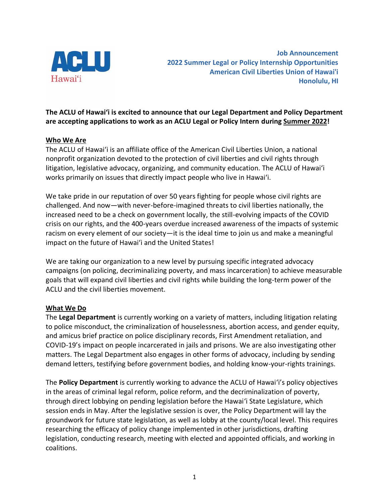

**Job Announcement 2022 Summer Legal or Policy Internship Opportunities American Civil Liberties Union of Hawai'i Honolulu, HI**

# **The ACLU of Hawaiʻi is excited to announce that our Legal Department and Policy Department are accepting applications to work as an ACLU Legal or Policy Intern during Summer 2022!**

# **Who We Are**

The ACLU of Hawai'i is an affiliate office of the American Civil Liberties Union, a national nonprofit organization devoted to the protection of civil liberties and civil rights through litigation, legislative advocacy, organizing, and community education. The ACLU of Hawaiʻi works primarily on issues that directly impact people who live in Hawaiʻi.

We take pride in our reputation of over 50 years fighting for people whose civil rights are challenged. And now—with never-before-imagined threats to civil liberties nationally, the increased need to be a check on government locally, the still-evolving impacts of the COVID crisis on our rights, and the 400-years overdue increased awareness of the impacts of systemic racism on every element of our society—it is the ideal time to join us and make a meaningful impact on the future of Hawai'i and the United States!

We are taking our organization to a new level by pursuing specific integrated advocacy campaigns (on policing, decriminalizing poverty, and mass incarceration) to achieve measurable goals that will expand civil liberties and civil rights while building the long-term power of the ACLU and the civil liberties movement.

#### **What We Do**

The **Legal Department** is currently working on a variety of matters, including litigation relating to police misconduct, the criminalization of houselessness, abortion access, and gender equity, and amicus brief practice on police disciplinary records, First Amendment retaliation, and COVID-19's impact on people incarcerated in jails and prisons. We are also investigating other matters. The Legal Department also engages in other forms of advocacy, including by sending demand letters, testifying before government bodies, and holding know-your-rights trainings.

The **Policy Department** is currently working to advance the ACLU of Hawaiʻi's policy objectives in the areas of criminal legal reform, police reform, and the decriminalization of poverty, through direct lobbying on pending legislation before the Hawaiʻi State Legislature, which session ends in May. After the legislative session is over, the Policy Department will lay the groundwork for future state legislation, as well as lobby at the county/local level. This requires researching the efficacy of policy change implemented in other jurisdictions, drafting legislation, conducting research, meeting with elected and appointed officials, and working in coalitions.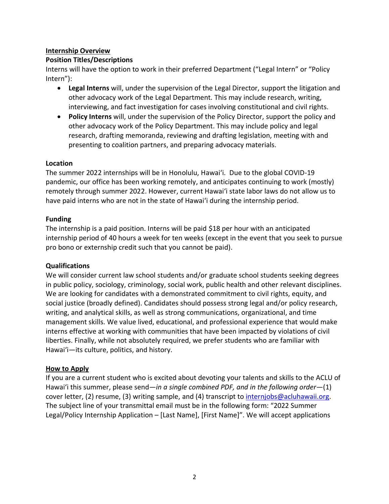# **Internship Overview**

#### **Position Titles/Descriptions**

Interns will have the option to work in their preferred Department ("Legal Intern" or "Policy Intern"):

- **Legal Interns** will, under the supervision of the Legal Director, support the litigation and other advocacy work of the Legal Department. This may include research, writing, interviewing, and fact investigation for cases involving constitutional and civil rights.
- **Policy Interns** will, under the supervision of the Policy Director, support the policy and other advocacy work of the Policy Department. This may include policy and legal research, drafting memoranda, reviewing and drafting legislation, meeting with and presenting to coalition partners, and preparing advocacy materials.

# **Location**

The summer 2022 internships will be in Honolulu, Hawaiʻi. Due to the global COVID-19 pandemic, our office has been working remotely, and anticipates continuing to work (mostly) remotely through summer 2022. However, current Hawaiʻi state labor laws do not allow us to have paid interns who are not in the state of Hawaiʻi during the internship period.

# **Funding**

The internship is a paid position. Interns will be paid \$18 per hour with an anticipated internship period of 40 hours a week for ten weeks (except in the event that you seek to pursue pro bono or externship credit such that you cannot be paid).

#### **Qualifications**

We will consider current law school students and/or graduate school students seeking degrees in public policy, sociology, criminology, social work, public health and other relevant disciplines. We are looking for candidates with a demonstrated commitment to civil rights, equity, and social justice (broadly defined). Candidates should possess strong legal and/or policy research, writing, and analytical skills, as well as strong communications, organizational, and time management skills. We value lived, educational, and professional experience that would make interns effective at working with communities that have been impacted by violations of civil liberties. Finally, while not absolutely required, we prefer students who are familiar with Hawaiʻi—its culture, politics, and history.

#### **How to Apply**

If you are a current student who is excited about devoting your talents and skills to the ACLU of Hawaiʻi this summer, please send—*in a single combined PDF, and in the following order*—(1) cover letter, (2) resume, (3) writing sample, and (4) transcript to [internjobs@acluhawaii.org.](mailto:internjobs@acluhawaii.org) The subject line of your transmittal email must be in the following form: "2022 Summer Legal/Policy Internship Application – [Last Name], [First Name]". We will accept applications